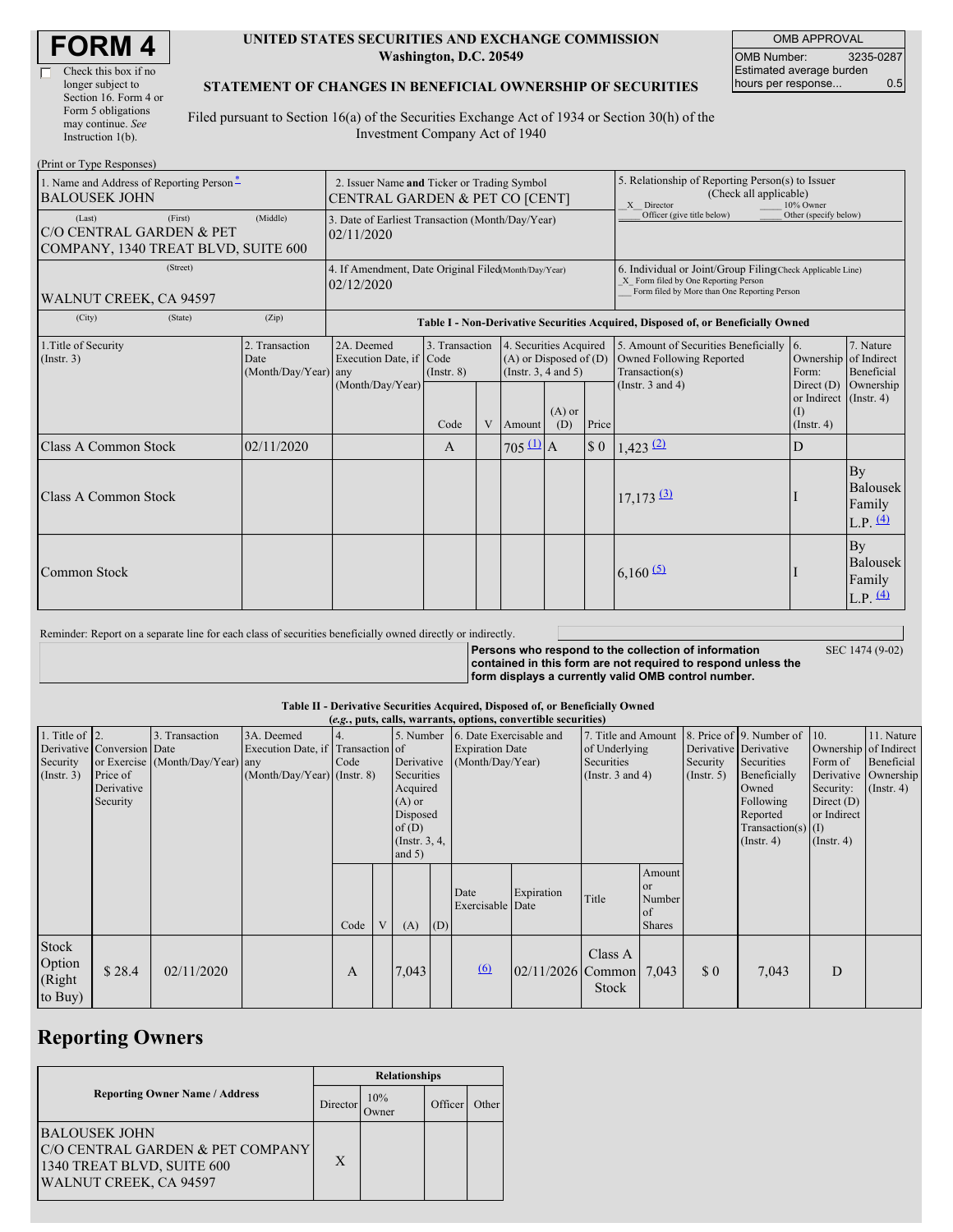| <b>FORM 4</b> |
|---------------|
|---------------|

г

| Check this box if no  |
|-----------------------|
| longer subject to     |
| Section 16. Form 4 or |
| Form 5 obligations    |
| may continue. See     |
| Instruction $1(b)$ .  |

#### **UNITED STATES SECURITIES AND EXCHANGE COMMISSION Washington, D.C. 20549**

OMB APPROVAL OMB Number: 3235-0287 Estimated average burden hours per response... 0.5

### **STATEMENT OF CHANGES IN BENEFICIAL OWNERSHIP OF SECURITIES**

Filed pursuant to Section 16(a) of the Securities Exchange Act of 1934 or Section 30(h) of the Investment Company Act of 1940

| (Print or Type Responses)                                                                  |                                                                               |                                                                                  |                                   |   |                                                                              |                 |                                                                                                                                                    |                                                                                    |                                                                   |                                                      |  |
|--------------------------------------------------------------------------------------------|-------------------------------------------------------------------------------|----------------------------------------------------------------------------------|-----------------------------------|---|------------------------------------------------------------------------------|-----------------|----------------------------------------------------------------------------------------------------------------------------------------------------|------------------------------------------------------------------------------------|-------------------------------------------------------------------|------------------------------------------------------|--|
| 1. Name and Address of Reporting Person*<br><b>BALOUSEK JOHN</b>                           | 2. Issuer Name and Ticker or Trading Symbol<br>CENTRAL GARDEN & PET CO [CENT] |                                                                                  |                                   |   |                                                                              |                 | 5. Relationship of Reporting Person(s) to Issuer<br>(Check all applicable)<br>10% Owner<br>X Director                                              |                                                                                    |                                                                   |                                                      |  |
| (First)<br>(Last)<br>C/O CENTRAL GARDEN & PET<br>COMPANY, 1340 TREAT BLVD, SUITE 600       | 3. Date of Earliest Transaction (Month/Day/Year)<br>02/11/2020                |                                                                                  |                                   |   |                                                                              |                 | Officer (give title below)                                                                                                                         | Other (specify below)                                                              |                                                                   |                                                      |  |
| (Street)<br>WALNUT CREEK, CA 94597                                                         | 4. If Amendment, Date Original Filed(Month/Day/Year)<br>02/12/2020            |                                                                                  |                                   |   |                                                                              |                 | 6. Individual or Joint/Group Filing(Check Applicable Line)<br>X Form filed by One Reporting Person<br>Form filed by More than One Reporting Person |                                                                                    |                                                                   |                                                      |  |
| (City)<br>(State)                                                                          | (Zip)                                                                         | Table I - Non-Derivative Securities Acquired, Disposed of, or Beneficially Owned |                                   |   |                                                                              |                 |                                                                                                                                                    |                                                                                    |                                                                   |                                                      |  |
| 2. Transaction<br>1. Title of Security<br>$($ Instr. 3 $)$<br>Date<br>(Month/Day/Year) any |                                                                               | 2A. Deemed<br>Execution Date, if Code                                            | 3. Transaction<br>$($ Instr. $8)$ |   | 4. Securities Acquired<br>$(A)$ or Disposed of $(D)$<br>(Insert. 3, 4 and 5) |                 |                                                                                                                                                    | 5. Amount of Securities Beneficially<br>Owned Following Reported<br>Transaction(s) | <b>16.</b><br>Ownership of Indirect<br>Form:                      | 7. Nature<br>Beneficial                              |  |
|                                                                                            |                                                                               | (Month/Day/Year)                                                                 | Code                              | V | Amount                                                                       | $(A)$ or<br>(D) | Price                                                                                                                                              | (Instr. $3$ and $4$ )                                                              | Direct $(D)$<br>or Indirect<br>$(\mathrm{I})$<br>$($ Instr. 4 $)$ | Ownership<br>$($ Instr. 4 $)$                        |  |
| <b>Class A Common Stock</b>                                                                | 02/11/2020                                                                    |                                                                                  | A                                 |   | $705 \underline{u}$ A                                                        |                 | $\sqrt{5}0$                                                                                                                                        | $1,423$ (2)                                                                        | D                                                                 |                                                      |  |
| Class A Common Stock                                                                       |                                                                               |                                                                                  |                                   |   |                                                                              |                 |                                                                                                                                                    | $17,173$ $(3)$                                                                     |                                                                   | By<br><b>Balousek</b><br>Family<br>L.P. $(4)$        |  |
| <b>Common Stock</b>                                                                        |                                                                               |                                                                                  |                                   |   |                                                                              |                 |                                                                                                                                                    | $6,160$ (5)                                                                        |                                                                   | <b>By</b><br><b>Balousek</b><br>Family<br>L.P. $(4)$ |  |

Reminder: Report on a separate line for each class of securities beneficially owned directly or indirectly.

**Persons who respond to the collection of information contained in this form are not required to respond unless the form displays a currently valid OMB control number.**

SEC 1474 (9-02)

#### **Table II - Derivative Securities Acquired, Disposed of, or Beneficially Owned**

| (e.g., puts, calls, warrants, options, convertible securities) |                                                                  |                                                    |                                                                                |            |   |                                                                                                                   |     |                          |                                                                                                                                                      |                  |                                        |                                                       |                                                                                                                                          |                                                                                                                          |                                              |
|----------------------------------------------------------------|------------------------------------------------------------------|----------------------------------------------------|--------------------------------------------------------------------------------|------------|---|-------------------------------------------------------------------------------------------------------------------|-----|--------------------------|------------------------------------------------------------------------------------------------------------------------------------------------------|------------------|----------------------------------------|-------------------------------------------------------|------------------------------------------------------------------------------------------------------------------------------------------|--------------------------------------------------------------------------------------------------------------------------|----------------------------------------------|
| 1. Title of $\vert$ 2.<br>Security<br>$($ Instr. 3 $)$         | Derivative Conversion Date<br>Price of<br>Derivative<br>Security | 3. Transaction<br>or Exercise (Month/Day/Year) any | 3A. Deemed<br>Execution Date, if Transaction of<br>(Month/Day/Year) (Instr. 8) | 4.<br>Code |   | 5. Number<br>Derivative<br>Securities<br>Acquired<br>$(A)$ or<br>Disposed<br>of(D)<br>(Instr. $3, 4,$<br>and $5)$ |     |                          | 7. Title and Amount<br>6. Date Exercisable and<br>of Underlying<br><b>Expiration Date</b><br>(Month/Day/Year)<br>Securities<br>(Instr. $3$ and $4$ ) |                  |                                        | Derivative Derivative<br>Security<br>$($ Instr. 5 $)$ | 8. Price of 9. Number of 10.<br>Securities<br>Beneficially<br>Owned<br>Following<br>Reported<br>Transaction(s) $(I)$<br>$($ Instr. 4 $)$ | Ownership of Indirect<br>Form of<br>Derivative Ownership<br>Security:<br>Direct $(D)$<br>or Indirect<br>$($ Instr. 4 $)$ | 11. Nature<br>Beneficial<br>$($ Instr. 4 $)$ |
|                                                                |                                                                  |                                                    |                                                                                | Code       | V | (A)                                                                                                               | (D) | Date<br>Exercisable Date | Expiration                                                                                                                                           | Title            | Amount<br>or<br>Number<br>of<br>Shares |                                                       |                                                                                                                                          |                                                                                                                          |                                              |
| Stock<br>Option<br>(Right<br>to Buy)                           | \$28.4                                                           | 02/11/2020                                         |                                                                                | A          |   | 7,043                                                                                                             |     | $\omega$                 | $02/11/2026$ Common                                                                                                                                  | Class A<br>Stock | 7,043                                  | \$0                                                   | 7,043                                                                                                                                    | D                                                                                                                        |                                              |

## **Reporting Owners**

|                                                                                                                  | <b>Relationships</b> |                     |         |       |  |  |  |
|------------------------------------------------------------------------------------------------------------------|----------------------|---------------------|---------|-------|--|--|--|
| <b>Reporting Owner Name / Address</b>                                                                            | Director             | 10%<br><b>Tymer</b> | Officer | Other |  |  |  |
| <b>BALOUSEK JOHN</b><br>C/O CENTRAL GARDEN & PET COMPANY<br>1340 TREAT BLVD, SUITE 600<br>WALNUT CREEK, CA 94597 | X                    |                     |         |       |  |  |  |